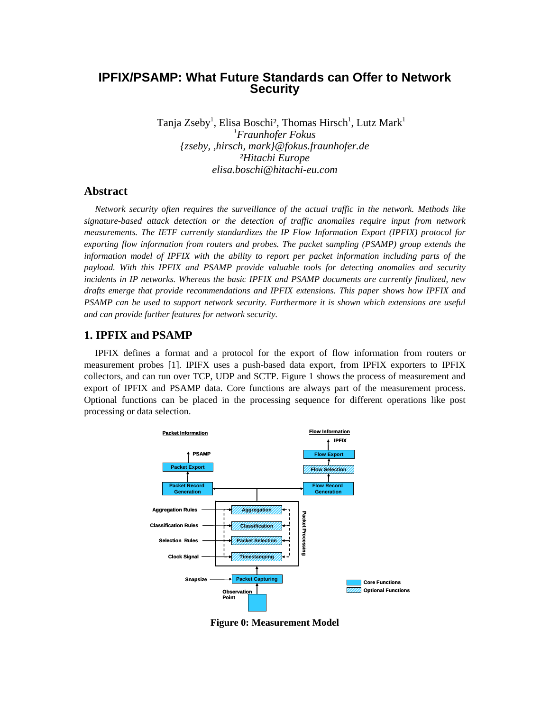# **IPFIX/PSAMP: What Future Standards can Offer to Network Security**

Tanja Zseby<sup>1</sup>, Elisa Boschi<sup>2</sup>, Thomas Hirsch<sup>1</sup>, Lutz Mark<sup>1</sup> *1 Fraunhofer Fokus {zseby, ,hirsch, mark}@fokus.fraunhofer.de ²Hitachi Europe elisa.boschi@hitachi-eu.com* 

### **Abstract**

*Network security often requires the surveillance of the actual traffic in the network. Methods like signature-based attack detection or the detection of traffic anomalies require input from network measurements. The IETF currently standardizes the IP Flow Information Export (IPFIX) protocol for exporting flow information from routers and probes. The packet sampling (PSAMP) group extends the information model of IPFIX with the ability to report per packet information including parts of the payload. With this IPFIX and PSAMP provide valuable tools for detecting anomalies and security incidents in IP networks. Whereas the basic IPFIX and PSAMP documents are currently finalized, new drafts emerge that provide recommendations and IPFIX extensions. This paper shows how IPFIX and PSAMP can be used to support network security. Furthermore it is shown which extensions are useful and can provide further features for network security.* 

### **1. IPFIX and PSAMP**

IPFIX defines a format and a protocol for the export of flow information from routers or measurement probes [1]. IPIFX uses a push-based data export, from IPFIX exporters to IPFIX collectors, and can run over TCP, UDP and SCTP. Figure 1 shows the process of measurement and export of IPFIX and PSAMP data. Core functions are always part of the measurement process. Optional functions can be placed in the processing sequence for different operations like post processing or data selection.



**Figure 0: Measurement Model**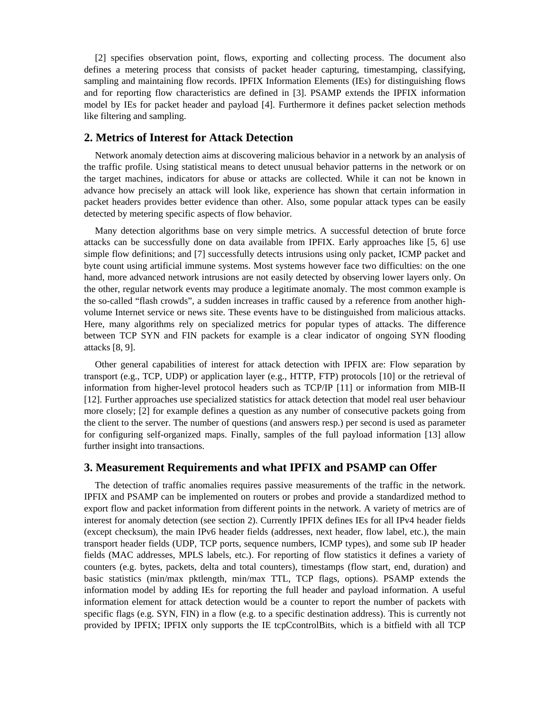[2] specifies observation point, flows, exporting and collecting process. The document also defines a metering process that consists of packet header capturing, timestamping, classifying, sampling and maintaining flow records. IPFIX Information Elements (IEs) for distinguishing flows and for reporting flow characteristics are defined in [3]. PSAMP extends the IPFIX information model by IEs for packet header and payload [4]. Furthermore it defines packet selection methods like filtering and sampling.

### **2. Metrics of Interest for Attack Detection**

Network anomaly detection aims at discovering malicious behavior in a network by an analysis of the traffic profile. Using statistical means to detect unusual behavior patterns in the network or on the target machines, indicators for abuse or attacks are collected. While it can not be known in advance how precisely an attack will look like, experience has shown that certain information in packet headers provides better evidence than other. Also, some popular attack types can be easily detected by metering specific aspects of flow behavior.

Many detection algorithms base on very simple metrics. A successful detection of brute force attacks can be successfully done on data available from IPFIX. Early approaches like [5, 6] use simple flow definitions; and [7] successfully detects intrusions using only packet, ICMP packet and byte count using artificial immune systems. Most systems however face two difficulties: on the one hand, more advanced network intrusions are not easily detected by observing lower layers only. On the other, regular network events may produce a legitimate anomaly. The most common example is the so-called "flash crowds", a sudden increases in traffic caused by a reference from another highvolume Internet service or news site. These events have to be distinguished from malicious attacks. Here, many algorithms rely on specialized metrics for popular types of attacks. The difference between TCP SYN and FIN packets for example is a clear indicator of ongoing SYN flooding attacks [8, 9].

Other general capabilities of interest for attack detection with IPFIX are: Flow separation by transport (e.g., TCP, UDP) or application layer (e.g., HTTP, FTP) protocols [10] or the retrieval of information from higher-level protocol headers such as TCP/IP [11] or information from MIB-II [12]. Further approaches use specialized statistics for attack detection that model real user behaviour more closely; [2] for example defines a question as any number of consecutive packets going from the client to the server. The number of questions (and answers resp.) per second is used as parameter for configuring self-organized maps. Finally, samples of the full payload information [13] allow further insight into transactions.

### **3. Measurement Requirements and what IPFIX and PSAMP can Offer**

The detection of traffic anomalies requires passive measurements of the traffic in the network. IPFIX and PSAMP can be implemented on routers or probes and provide a standardized method to export flow and packet information from different points in the network. A variety of metrics are of interest for anomaly detection (see section 2). Currently IPFIX defines IEs for all IPv4 header fields (except checksum), the main IPv6 header fields (addresses, next header, flow label, etc.), the main transport header fields (UDP, TCP ports, sequence numbers, ICMP types), and some sub IP header fields (MAC addresses, MPLS labels, etc.). For reporting of flow statistics it defines a variety of counters (e.g. bytes, packets, delta and total counters), timestamps (flow start, end, duration) and basic statistics (min/max pktlength, min/max TTL, TCP flags, options). PSAMP extends the information model by adding IEs for reporting the full header and payload information. A useful information element for attack detection would be a counter to report the number of packets with specific flags (e.g. SYN, FIN) in a flow (e.g. to a specific destination address). This is currently not provided by IPFIX; IPFIX only supports the IE tcpCcontrolBits, which is a bitfield with all TCP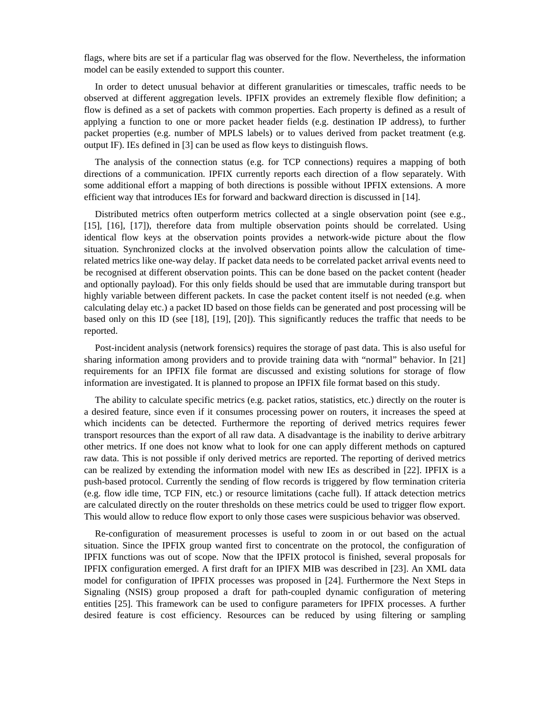flags, where bits are set if a particular flag was observed for the flow. Nevertheless, the information model can be easily extended to support this counter.

In order to detect unusual behavior at different granularities or timescales, traffic needs to be observed at different aggregation levels. IPFIX provides an extremely flexible flow definition; a flow is defined as a set of packets with common properties. Each property is defined as a result of applying a function to one or more packet header fields (e.g. destination IP address), to further packet properties (e.g. number of MPLS labels) or to values derived from packet treatment (e.g. output IF). IEs defined in [3] can be used as flow keys to distinguish flows.

The analysis of the connection status (e.g. for TCP connections) requires a mapping of both directions of a communication. IPFIX currently reports each direction of a flow separately. With some additional effort a mapping of both directions is possible without IPFIX extensions. A more efficient way that introduces IEs for forward and backward direction is discussed in [14].

Distributed metrics often outperform metrics collected at a single observation point (see e.g., [15], [16], [17]), therefore data from multiple observation points should be correlated. Using identical flow keys at the observation points provides a network-wide picture about the flow situation. Synchronized clocks at the involved observation points allow the calculation of timerelated metrics like one-way delay. If packet data needs to be correlated packet arrival events need to be recognised at different observation points. This can be done based on the packet content (header and optionally payload). For this only fields should be used that are immutable during transport but highly variable between different packets. In case the packet content itself is not needed (e.g. when calculating delay etc.) a packet ID based on those fields can be generated and post processing will be based only on this ID (see [18], [19], [20]). This significantly reduces the traffic that needs to be reported.

Post-incident analysis (network forensics) requires the storage of past data. This is also useful for sharing information among providers and to provide training data with "normal" behavior. In [21] requirements for an IPFIX file format are discussed and existing solutions for storage of flow information are investigated. It is planned to propose an IPFIX file format based on this study.

The ability to calculate specific metrics (e.g. packet ratios, statistics, etc.) directly on the router is a desired feature, since even if it consumes processing power on routers, it increases the speed at which incidents can be detected. Furthermore the reporting of derived metrics requires fewer transport resources than the export of all raw data. A disadvantage is the inability to derive arbitrary other metrics. If one does not know what to look for one can apply different methods on captured raw data. This is not possible if only derived metrics are reported. The reporting of derived metrics can be realized by extending the information model with new IEs as described in [22]. IPFIX is a push-based protocol. Currently the sending of flow records is triggered by flow termination criteria (e.g. flow idle time, TCP FIN, etc.) or resource limitations (cache full). If attack detection metrics are calculated directly on the router thresholds on these metrics could be used to trigger flow export. This would allow to reduce flow export to only those cases were suspicious behavior was observed.

Re-configuration of measurement processes is useful to zoom in or out based on the actual situation. Since the IPFIX group wanted first to concentrate on the protocol, the configuration of IPFIX functions was out of scope. Now that the IPFIX protocol is finished, several proposals for IPFIX configuration emerged. A first draft for an IPIFX MIB was described in [23]. An XML data model for configuration of IPFIX processes was proposed in [24]. Furthermore the Next Steps in Signaling (NSIS) group proposed a draft for path-coupled dynamic configuration of metering entities [25]. This framework can be used to configure parameters for IPFIX processes. A further desired feature is cost efficiency. Resources can be reduced by using filtering or sampling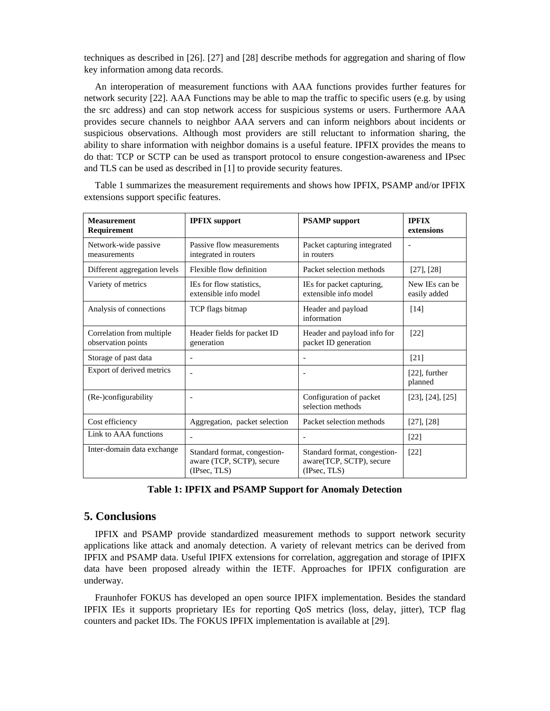techniques as described in [26]. [27] and [28] describe methods for aggregation and sharing of flow key information among data records.

An interoperation of measurement functions with AAA functions provides further features for network security [22]. AAA Functions may be able to map the traffic to specific users (e.g. by using the src address) and can stop network access for suspicious systems or users. Furthermore AAA provides secure channels to neighbor AAA servers and can inform neighbors about incidents or suspicious observations. Although most providers are still reluctant to information sharing, the ability to share information with neighbor domains is a useful feature. IPFIX provides the means to do that: TCP or SCTP can be used as transport protocol to ensure congestion-awareness and IPsec and TLS can be used as described in [1] to provide security features.

| <b>Measurement</b><br>Requirement               | <b>IPFIX</b> support                                                      | <b>PSAMP</b> support                                                     | <b>IPFIX</b><br>extensions     |
|-------------------------------------------------|---------------------------------------------------------------------------|--------------------------------------------------------------------------|--------------------------------|
| Network-wide passive<br>measurements            | Passive flow measurements<br>integrated in routers                        | Packet capturing integrated<br>in routers                                |                                |
| Different aggregation levels                    | Flexible flow definition                                                  | Packet selection methods                                                 | [27], [28]                     |
| Variety of metrics                              | IEs for flow statistics.<br>extensible info model                         | IEs for packet capturing,<br>extensible info model                       | New IEs can be<br>easily added |
| Analysis of connections                         | TCP flags bitmap                                                          | Header and payload<br>information                                        | [14]                           |
| Correlation from multiple<br>observation points | Header fields for packet ID<br>generation                                 | Header and payload info for<br>packet ID generation                      | [22]                           |
| Storage of past data                            |                                                                           |                                                                          | $[21]$                         |
| Export of derived metrics                       |                                                                           |                                                                          | $[22]$ , further<br>planned    |
| (Re-)configurability                            |                                                                           | Configuration of packet<br>selection methods                             | $[23]$ , $[24]$ , $[25]$       |
| Cost efficiency                                 | Aggregation, packet selection                                             | Packet selection methods                                                 | [27], [28]                     |
| Link to AAA functions                           |                                                                           |                                                                          | $[22]$                         |
| Inter-domain data exchange                      | Standard format, congestion-<br>aware (TCP, SCTP), secure<br>(IPsec, TLS) | Standard format, congestion-<br>aware(TCP, SCTP), secure<br>(IPsec, TLS) | $[22]$                         |

[Table 1](#page-3-0) summarizes the measurement requirements and shows how IPFIX, PSAMP and/or IPFIX extensions support specific features.

<span id="page-3-0"></span>**Table 1: IPFIX and PSAMP Support for Anomaly Detection** 

## **5. Conclusions**

IPFIX and PSAMP provide standardized measurement methods to support network security applications like attack and anomaly detection. A variety of relevant metrics can be derived from IPFIX and PSAMP data. Useful IPIFX extensions for correlation, aggregation and storage of IPIFX data have been proposed already within the IETF. Approaches for IPFIX configuration are underway.

Fraunhofer FOKUS has developed an open source IPIFX implementation. Besides the standard IPFIX IEs it supports proprietary IEs for reporting QoS metrics (loss, delay, jitter), TCP flag counters and packet IDs. The FOKUS IPFIX implementation is available at [29].